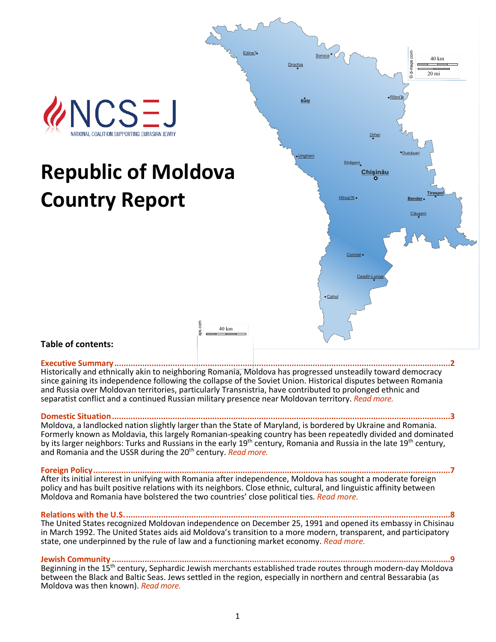

#### **Table of contents:**

#### **[Executive Summary................................................................................................................................................2](#page-1-0)**

Historically and ethnically akin to neighboring Romania, Moldova has progressed unsteadily toward democracy since gaining its independence following the collapse of the Soviet Union. Historical disputes between Romania and Russia over Moldovan territories, particularly Transnistria, have contributed to prolonged ethnic and separatist conflict and a continued Russian military presence near Moldovan territory. *[Read more.](#page-1-0)*

#### **Domestic Situation.**

Moldova, a landlocked nation slightly larger than the State of Maryland, is bordered by Ukraine and Romania. Formerly known as Moldavia, this largely Romanian-speaking country has been repeatedly divided and dominated by its larger neighbors: Turks and Russians in the early 19<sup>th</sup> century, Romania and Russia in the late 19<sup>th</sup> century, and Romania and the USSR during the 20th century. *[Read more.](#page-2-0)*

**[Foreign Policy.........................................................................................................................................................7](#page-6-0)** After its initial interest in unifying with Romania after independence, Moldova has sought a moderate foreign policy and has built positive relations with its neighbors. Close ethnic, cultural, and linguistic affinity between Moldova and Romania have bolstered the two countries' close political ties. *[Read more.](#page-6-0)*

Relations with the U.S..... The United States recognized Moldovan independence on December 25, 1991 and opened its embassy in Chisinau in March 1992. The United States aids aid Moldova's transition to a more modern, transparent, and participatory state, one underpinned by the rule of law and a functioning market economy. *[Read more.](#page-8-0)*

**Jewish Community [.................................................................................................................................................9](#page-9-0)** Beginning in the 15<sup>th</sup> century, Sephardic Jewish merchants established trade routes through modern-day Moldova between the Black and Baltic Seas. Jews settled in the region, especially in northern and central Bessarabia (as Moldova was then known). *[Read more.](#page-9-0)*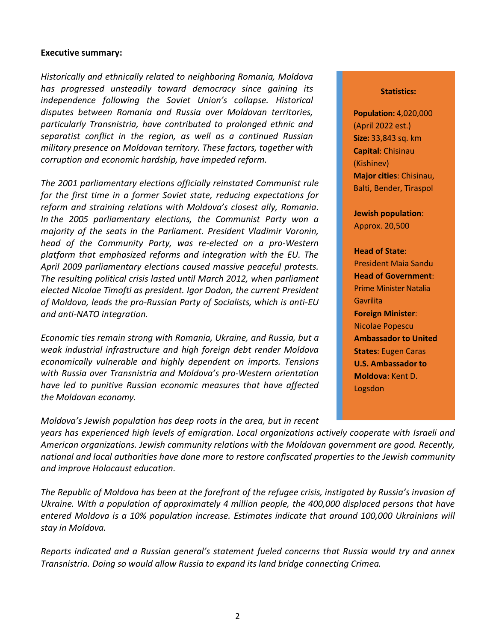#### <span id="page-1-0"></span>**Executive summary:**

*Historically and ethnically related to neighboring Romania, Moldova has progressed unsteadily toward democracy since gaining its independence following the Soviet Union's collapse. Historical disputes between Romania and Russia over Moldovan territories, particularly Transnistria, have contributed to prolonged ethnic and separatist conflict in the region, as well as a continued Russian military presence on Moldovan territory. These factors, together with corruption and economic hardship, have impeded reform.*

*The 2001 parliamentary elections officially reinstated Communist rule for the first time in a former Soviet state, reducing expectations for reform and straining relations with Moldova's closest ally, Romania. In the 2005 parliamentary elections, the Communist Party won a majority of the seats in the Parliament. President Vladimir Voronin, head of the Community Party, was re-elected on a pro-Western platform that emphasized reforms and integration with the EU. The April 2009 parliamentary elections caused massive peaceful protests. The resulting political crisis lasted until March 2012, when parliament elected [Nicolae Timofti](http://en.wikipedia.org/wiki/Nicolae_Timofti) as president. Igor Dodon, the current President of Moldova, leads the pro-Russian Party of Socialists, which is anti-EU and anti-NATO integration.* 

*Economic ties remain strong with Romania, Ukraine, and Russia, but a weak industrial infrastructure and high foreign debt render Moldova economically vulnerable and highly dependent on imports. Tensions with Russia over Transnistria and Moldova's pro-Western orientation have led to punitive Russian economic measures that have affected the Moldovan economy.*

*Moldova's Jewish population has deep roots in the area, but in recent* 

#### **Statistics:**

**Population:** 4,020,000 (April 2022 est.) **Size:** 33,843 sq. km **Capital**: Chisinau (Kishinev) **Major cities**: Chisinau, Balti, Bender, Tiraspol

**Jewish population**: Approx. 20,500

# **Head of State**:

President Maia Sandu **Head of Government**: Prime Minister Natalia **Gavrilita Foreign Minister**: Nicolae Popescu **Ambassador to United States**: Eugen Caras **U.S. Ambassador to Moldova**: Kent D. Logsdon

*years has experienced high levels of emigration. Local organizations actively cooperate with Israeli and American organizations. Jewish community relations with the Moldovan government are good. Recently, national and local authorities have done more to restore confiscated properties to the Jewish community and improve Holocaust education.*

*The Republic of Moldova has been at the forefront of the refugee crisis, instigated by Russia's invasion of Ukraine. With a population of approximately 4 million people, the 400,000 displaced persons that have entered Moldova is a 10% population increase. Estimates indicate that around 100,000 Ukrainians will stay in Moldova.*

*Reports indicated and a Russian general's statement fueled concerns that Russia would try and annex Transnistria. Doing so would allow Russia to expand its land bridge connecting Crimea.*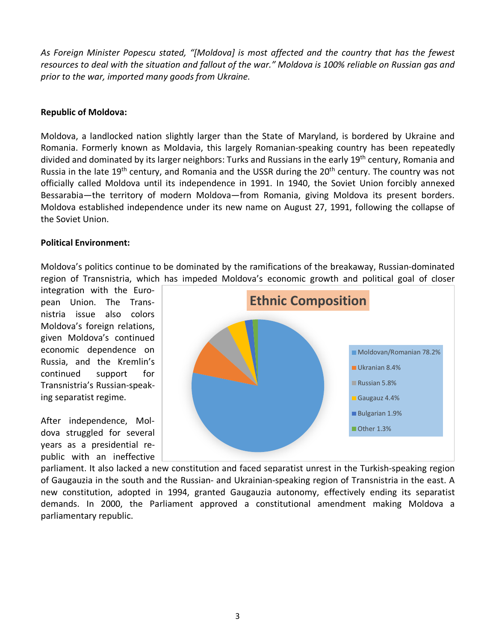*As Foreign Minister Popescu stated, "[Moldova] is most affected and the country that has the fewest resources to deal with the situation and fallout of the war." Moldova is 100% reliable on Russian gas and prior to the war, imported many goods from Ukraine.*

### <span id="page-2-0"></span>**Republic of Moldova:**

Moldova, a landlocked nation slightly larger than the State of Maryland, is bordered by Ukraine and Romania. Formerly known as Moldavia, this largely Romanian-speaking country has been repeatedly divided and dominated by its larger neighbors: Turks and Russians in the early 19<sup>th</sup> century, Romania and Russia in the late 19<sup>th</sup> century, and Romania and the USSR during the 20<sup>th</sup> century. The country was not officially called Moldova until its independence in 1991. In 1940, the Soviet Union forcibly annexed Bessarabia—the territory of modern Moldova—from Romania, giving Moldova its present borders. Moldova established independence under its new name on August 27, 1991, following the collapse of the Soviet Union.

# **Political Environment:**

Moldova's politics continue to be dominated by the ramifications of the breakaway, Russian-dominated region of Transnistria, which has impeded Moldova's economic growth and political goal of closer

integration with the European Union. The Transnistria issue also colors Moldova's foreign relations, given Moldova's continued economic dependence on Russia, and the Kremlin's continued support for Transnistria's Russian-speaking separatist regime.

After independence, Moldova struggled for several years as a presidential republic with an ineffective



parliament. It also lacked a new constitution and faced separatist unrest in the Turkish-speaking region of Gaugauzia in the south and the Russian- and Ukrainian-speaking region of Transnistria in the east. A new constitution, adopted in 1994, granted Gaugauzia autonomy, effectively ending its separatist demands. In 2000, the Parliament approved a constitutional amendment making Moldova a parliamentary republic.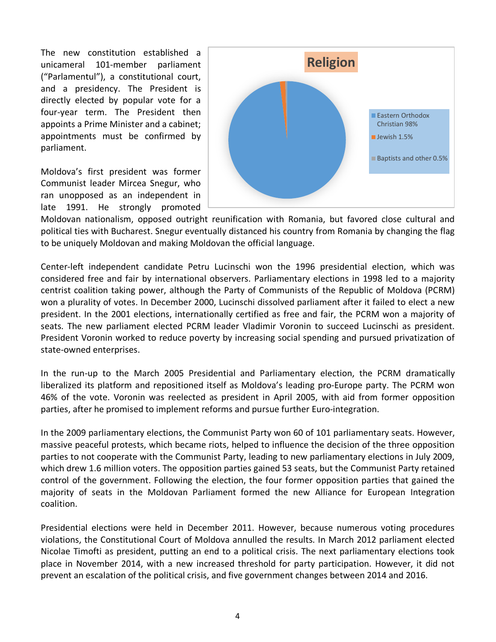The new constitution established a unicameral 101-member parliament ("Parlamentul"), a constitutional court, and a presidency. The President is directly elected by popular vote for a four-year term. The President then appoints a Prime Minister and a cabinet; appointments must be confirmed by parliament.

Moldova's first president was former Communist leader Mircea Snegur, who ran unopposed as an independent in late 1991. He strongly promoted



Moldovan nationalism, opposed outright reunification with Romania, but favored close cultural and political ties with Bucharest. Snegur eventually distanced his country from Romania by changing the flag to be uniquely Moldovan and making Moldovan the official language.

Center-left independent candidate Petru Lucinschi won the 1996 presidential election, which was considered free and fair by international observers. Parliamentary elections in 1998 led to a majority centrist coalition taking power, although the Party of Communists of the Republic of Moldova (PCRM) won a plurality of votes. In December 2000, Lucinschi dissolved parliament after it failed to elect a new president. In the 2001 elections, internationally certified as free and fair, the PCRM won a majority of seats. The new parliament elected PCRM leader Vladimir Voronin to succeed Lucinschi as president. President Voronin worked to reduce poverty by increasing social spending and pursued privatization of state-owned enterprises.

In the run-up to the March 2005 Presidential and Parliamentary election, the PCRM dramatically liberalized its platform and repositioned itself as Moldova's leading pro-Europe party. The PCRM won 46% of the vote. Voronin was reelected as president in April 2005, with aid from former opposition parties, after he promised to implement reforms and pursue further Euro-integration.

In the 2009 parliamentary elections, the Communist Party won 60 of 101 parliamentary seats. However, massive peaceful protests, which became riots, helped to influence the decision of the three opposition parties to not cooperate with the Communist Party, leading to new parliamentary elections in July 2009, which drew 1.6 million voters. The opposition parties gained 53 seats, but the Communist Party retained control of the government. Following the election, the four former opposition parties that gained the majority of seats in the Moldovan Parliament formed the new Alliance for European Integration coalition.

Presidential elections were held in December 2011. However, because numerous voting procedures violations, the Constitutional Court of Moldova annulled the results. In March 2012 parliament elected [Nicolae Timofti](http://en.wikipedia.org/wiki/Nicolae_Timofti) as president, putting an end to a political crisis. The next parliamentary elections took place in November 2014, with a new increased threshold for party participation. However, it did not prevent an escalation of the political crisis, and five government changes between 2014 and 2016.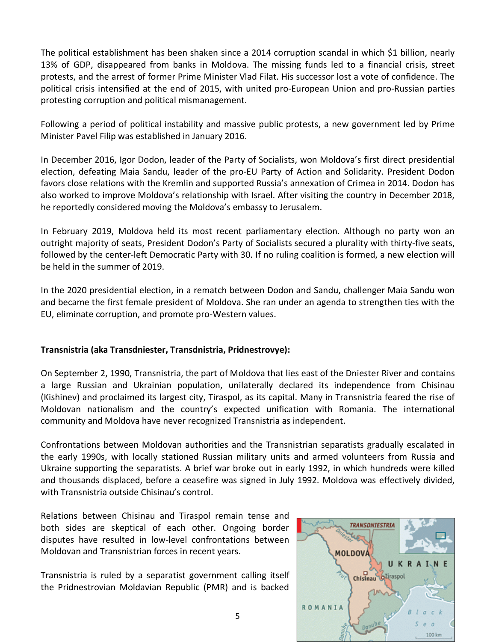The political establishment has been shaken since a 2014 corruption scandal in which \$1 billion, nearly 13% of GDP, disappeared from banks in Moldova. The missing funds led to a financial crisis, street protests, and the arrest of former Prime Minister Vlad Filat. His successor lost a vote of confidence. The political crisis intensified at the end of 2015, with united pro-European Union and pro-Russian parties protesting corruption and political mismanagement.

Following a period of political instability and massive public protests, a new government led by Prime Minister Pavel Filip was established in January 2016.

In December 2016, Igor Dodon, leader of the Party of Socialists, won Moldova's first direct presidential election, defeating Maia Sandu, leader of the pro-EU Party of Action and Solidarity. President Dodon favors close relations with the Kremlin and supported Russia's annexation of Crimea in 2014. Dodon has also worked to improve Moldova's relationship with Israel. After visiting the country in December 2018, he reportedly considered moving the Moldova's embassy to Jerusalem.

In February 2019, Moldova held its most recent parliamentary election. Although no party won an outright majority of seats, President Dodon's Party of Socialists secured a plurality with thirty-five seats, followed by the center-left Democratic Party with 30. If no ruling coalition is formed, a new election will be held in the summer of 2019.

In the 2020 presidential election, in a rematch between Dodon and Sandu, challenger Maia Sandu won and became the first female president of Moldova. She ran under an agenda to strengthen ties with the EU, eliminate corruption, and promote pro-Western values.

# **Transnistria (aka Transdniester, Transdnistria, Pridnestrovye):**

On September 2, 1990, Transnistria, the part of Moldova that lies east of the Dniester River and contains a large Russian and Ukrainian population, unilaterally declared its independence from Chisinau (Kishinev) and proclaimed its largest city, Tiraspol, as its capital. Many in Transnistria feared the rise of Moldovan nationalism and the country's expected unification with Romania. The international community and Moldova have never recognized Transnistria as independent.

Confrontations between Moldovan authorities and the Transnistrian separatists gradually escalated in the early 1990s, with locally stationed Russian military units and armed volunteers from Russia and Ukraine supporting the separatists. A brief war broke out in early 1992, in which hundreds were killed and thousands displaced, before a ceasefire was signed in July 1992. Moldova was effectively divided, with Transnistria outside Chisinau's control.

Relations between Chisinau and Tiraspol remain tense and both sides are skeptical of each other. Ongoing border disputes have resulted in low-level confrontations between Moldovan and Transnistrian forces in recent years.

Transnistria is ruled by a separatist government calling itself the Pridnestrovian Moldavian Republic (PMR) and is backed

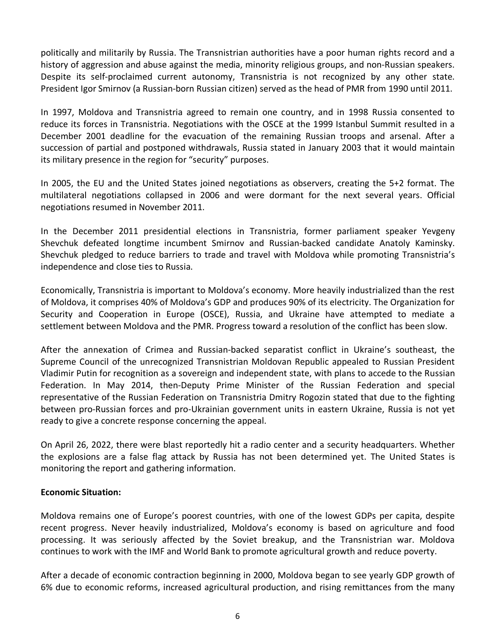politically and militarily by Russia. The Transnistrian authorities have a poor human rights record and a history of aggression and abuse against the media, minority religious groups, and non-Russian speakers. Despite its self-proclaimed current autonomy, Transnistria is not recognized by any other state. President Igor Smirnov (a Russian-born Russian citizen) served as the head of PMR from 1990 until 2011.

In 1997, Moldova and Transnistria agreed to remain one country, and in 1998 Russia consented to reduce its forces in Transnistria. Negotiations with the OSCE at the 1999 Istanbul Summit resulted in a December 2001 deadline for the evacuation of the remaining Russian troops and arsenal. After a succession of partial and postponed withdrawals, Russia stated in January 2003 that it would maintain its military presence in the region for "security" purposes.

In 2005, the EU and the United States joined negotiations as observers, creating the 5+2 format. The multilateral negotiations collapsed in 2006 and were dormant for the next several years. Official negotiations resumed in November 2011.

In the December 2011 presidential elections in Transnistria, former parliament speaker Yevgeny Shevchuk defeated longtime incumbent Smirnov and Russian-backed candidate Anatoly Kaminsky. Shevchuk pledged to reduce barriers to trade and travel with Moldova while promoting Transnistria's independence and close ties to Russia.

Economically, Transnistria is important to Moldova's economy. More heavily industrialized than the rest of Moldova, it comprises 40% of Moldova's GDP and produces 90% of its electricity. The Organization for Security and Cooperation in Europe (OSCE), Russia, and Ukraine have attempted to mediate a settlement between Moldova and the PMR. Progress toward a resolution of the conflict has been slow.

After the annexation of Crimea and Russian-backed separatist conflict in Ukraine's southeast, the Supreme Council of the unrecognized Transnistrian Moldovan Republic appealed to Russian President Vladimir Putin for recognition as a sovereign and independent state, with plans to accede to the Russian Federation. In May 2014, then-Deputy Prime Minister of the Russian Federation and special representative of the Russian Federation on Transnistria Dmitry Rogozin stated that due to the fighting between pro-Russian forces and pro-Ukrainian government units in eastern Ukraine, Russia is not yet ready to give a concrete response concerning the appeal.

On April 26, 2022, there were blast reportedly hit a radio center and a security headquarters. Whether the explosions are a false flag attack by Russia has not been determined yet. The United States is monitoring the report and gathering information.

### **Economic Situation:**

Moldova remains one of Europe's poorest countries, with one of the lowest GDPs per capita, despite recent progress. Never heavily industrialized, Moldova's economy is based on agriculture and food processing. It was seriously affected by the Soviet breakup, and the Transnistrian war. Moldova continues to work with the IMF and World Bank to promote agricultural growth and reduce poverty.

After a decade of economic contraction beginning in 2000, Moldova began to see yearly GDP growth of 6% due to economic reforms, increased agricultural production, and rising remittances from the many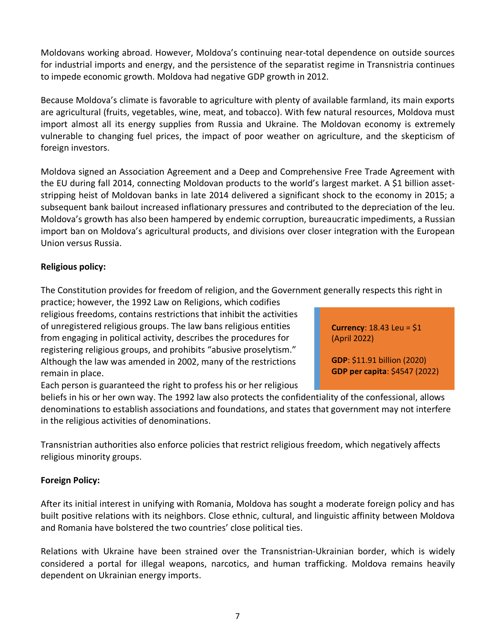Moldovans working abroad. However, Moldova's continuing near-total dependence on outside sources for industrial imports and energy, and the persistence of the separatist regime in Transnistria continues to impede economic growth. Moldova had negative GDP growth in 2012.

Because Moldova's climate is favorable to agriculture with plenty of available farmland, its main exports are agricultural (fruits, vegetables, wine, meat, and tobacco). With few natural resources, Moldova must import almost all its energy supplies from Russia and Ukraine. The Moldovan economy is extremely vulnerable to changing fuel prices, the impact of poor weather on agriculture, and the skepticism of foreign investors.

Moldova signed an Association Agreement and a Deep and Comprehensive Free Trade Agreement with the EU during fall 2014, connecting Moldovan products to the world's largest market. A \$1 billion assetstripping heist of Moldovan banks in late 2014 delivered a significant shock to the economy in 2015; a subsequent bank bailout increased inflationary pressures and contributed to the depreciation of the leu. Moldova's growth has also been hampered by endemic corruption, bureaucratic impediments, a Russian import ban on Moldova's agricultural products, and divisions over closer integration with the European Union versus Russia.

# **Religious policy:**

The [Constitution](http://en.wikipedia.org/wiki/Constitution_of_Moldova) provides for freedom of religion, and the [Government](http://en.wikipedia.org/wiki/Government_of_Moldova) generally respects this right in

practice; however, the 1992 Law on Religions, which codifies religious freedoms, contains restrictions that inhibit the activities of unregistered religious groups. The law bans religious entities from engaging in political activity, describes the procedures for registering religious groups, and prohibits "abusive proselytism." Although the law was amended in 2002, many of the restrictions remain in place.

Each person is guaranteed the right to profess his or her religious

**GDP**: \$11.91 billion (2020) **GDP per capita**: \$4547 (2022)

(April 2022)

**Currency**: 18.43 Leu = \$1

beliefs in his or her own way. The 1992 law also protects the confidentiality of the confessional, allows denominations to establish associations and foundations, and states that government may not interfere in the religious activities of denominations.

Transnistrian authorities also enforce policies that restrict religious freedom, which negatively affects religious minority groups.

# <span id="page-6-0"></span>**Foreign Policy:**

After its initial interest in unifying with Romania, Moldova has sought a moderate foreign policy and has built positive relations with its neighbors. Close ethnic, cultural, and linguistic affinity between Moldova and Romania have bolstered the two countries' close political ties.

Relations with Ukraine have been strained over the Transnistrian-Ukrainian border, which is widely considered a portal for illegal weapons, narcotics, and human trafficking. Moldova remains heavily dependent on Ukrainian energy imports.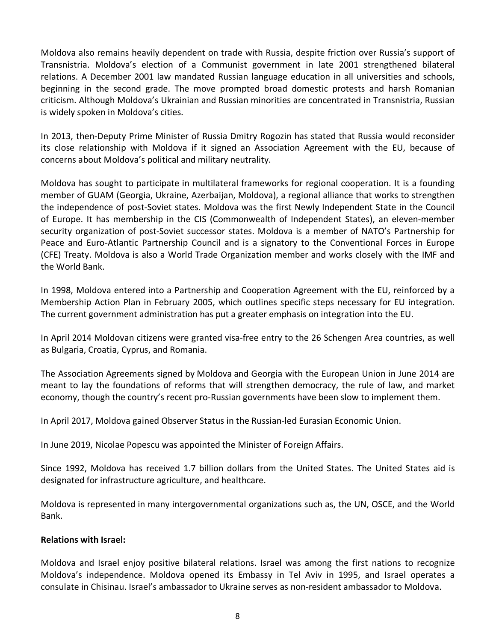Moldova also remains heavily dependent on trade with Russia, despite friction over Russia's support of Transnistria. Moldova's election of a Communist government in late 2001 strengthened bilateral relations. A December 2001 law mandated Russian language education in all universities and schools, beginning in the second grade. The move prompted broad domestic protests and harsh Romanian criticism. Although Moldova's Ukrainian and Russian minorities are concentrated in Transnistria, Russian is widely spoken in Moldova's cities.

In 2013, then-Deputy Prime Minister of Russia Dmitry Rogozin has stated that Russia would reconsider its close relationship with Moldova if it signed an Association Agreement with the EU, because of concerns about Moldova's political and military neutrality.

Moldova has sought to participate in multilateral frameworks for regional cooperation. It is a founding member of GUAM (Georgia, Ukraine, Azerbaijan, Moldova), a regional alliance that works to strengthen the independence of post-Soviet states. Moldova was the first Newly Independent State in the Council of Europe. It has membership in the CIS (Commonwealth of Independent States), an eleven-member security organization of post-Soviet successor states. Moldova is a member of NATO's Partnership for Peace and Euro-Atlantic Partnership Council and is a signatory to the Conventional Forces in Europe (CFE) Treaty. Moldova is also a World Trade Organization member and works closely with the IMF and the World Bank.

In 1998, Moldova entered into a Partnership and Cooperation Agreement with the EU, reinforced by a Membership Action Plan in February 2005, which outlines specific steps necessary for EU integration. The current government administration has put a greater emphasis on integration into the EU.

In April 2014 Moldovan citizens were granted visa-free entry to the 26 Schengen Area countries, as well as Bulgaria, Croatia, Cyprus, and Romania.

The Association Agreements signed by Moldova and Georgia with the European Union in June 2014 are meant to lay the foundations of reforms that will strengthen democracy, the rule of law, and market economy, though the country's recent pro-Russian governments have been slow to implement them.

In April 2017, Moldova gained Observer Status in the Russian-led Eurasian Economic Union.

In June 2019, Nicolae Popescu was appointed the Minister of Foreign Affairs.

Since 1992, Moldova has received 1.7 billion dollars from the United States. The United States aid is designated for infrastructure agriculture, and healthcare.

Moldova is represented in many intergovernmental organizations such as, the UN, OSCE, and the World Bank.

### **Relations with Israel:**

Moldova and Israel enjoy positive bilateral relations. Israel was among the first nations to recognize Moldova's independence. Moldova opened its Embassy in Tel Aviv in 1995, and Israel operates a consulate in Chisinau. Israel's ambassador to Ukraine serves as non-resident ambassador to Moldova.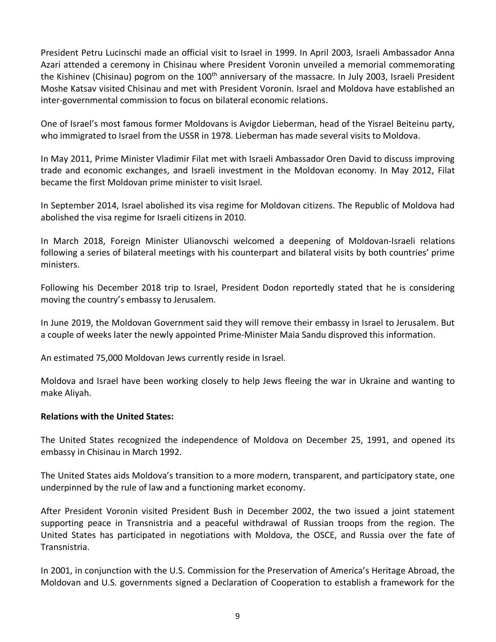President Petru Lucinschi made an official visit to Israel in 1999. In April 2003, Israeli Ambassador Anna Azari attended a ceremony in Chisinau where President Voronin unveiled a memorial commemorating the Kishinev (Chisinau) pogrom on the 100<sup>th</sup> anniversary of the massacre. In July 2003, Israeli President Moshe Katsav visited Chisinau and met with President Voronin. Israel and Moldova have established an inter-governmental commission to focus on bilateral economic relations.

One of Israel's most famous former Moldovans is Avigdor Lieberman, head of the Yisrael Beiteinu party, who immigrated to Israel from the USSR in 1978. Lieberman has made several visits to Moldova.

In May 2011, Prime Minister Vladimir Filat met with Israeli Ambassador Oren David to discuss improving trade and economic exchanges, and Israeli investment in the Moldovan economy. In May 2012, Filat became the first Moldovan prime minister to visit Israel.

In September 2014, Israel abolished its visa regime for Moldovan citizens. The Republic of Moldova had abolished the visa regime for Israeli citizens in 2010.

In March 2018, Foreign Minister Ulianovschi welcomed a deepening of Moldovan-Israeli relations following a series of bilateral meetings with his counterpart and bilateral visits by both countries' prime ministers.

Following his December 2018 trip to Israel, President Dodon reportedly stated that he is considering moving the country's embassy to Jerusalem.

In June 2019, the Moldovan Government said they will remove their embassy in Israel to Jerusalem. But a couple of weeks later the newly appointed Prime-Minister Maia Sandu disproved this information.

An estimated 75,000 Moldovan Jews currently reside in Israel.

Moldova and Israel have been working closely to help Jews fleeing the war in Ukraine and wanting to make Aliyah.

### <span id="page-8-0"></span>**Relations with the United States:**

The United States recognized the independence of Moldova on December 25, 1991, and opened its embassy in Chisinau in March 1992.

The United States aids Moldova's transition to a more modern, transparent, and participatory state, one underpinned by the rule of law and a functioning market economy.

After President Voronin visited President Bush in December 2002, the two issued a joint statement supporting peace in Transnistria and a peaceful withdrawal of Russian troops from the region. The United States has participated in negotiations with Moldova, the OSCE, and Russia over the fate of Transnistria.

In 2001, in conjunction with the U.S. Commission for the Preservation of America's Heritage Abroad, the Moldovan and U.S. governments signed a Declaration of Cooperation to establish a framework for the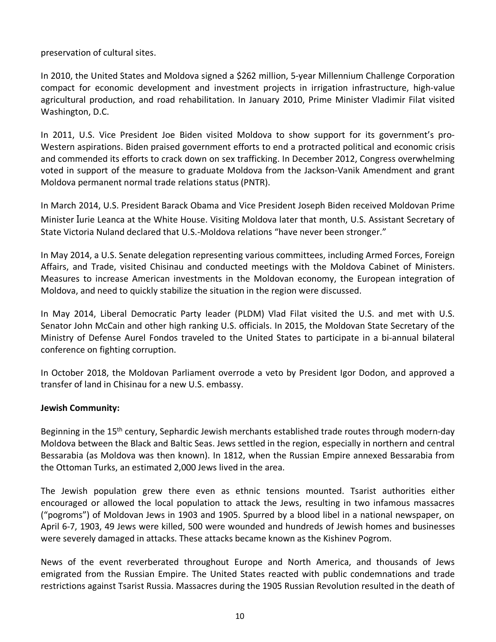preservation of cultural sites.

In 2010, the United States and Moldova signed a \$262 million, 5-year Millennium Challenge Corporation compact for economic development and investment projects in irrigation infrastructure, high-value agricultural production, and road rehabilitation. In January 2010, Prime Minister Vladimir Filat visited Washington, D.C.

In 2011, U.S. Vice President Joe Biden visited Moldova to show support for its government's pro-Western aspirations. Biden praised government efforts to end a protracted political and economic crisis and commended its efforts to crack down on sex trafficking. In December 2012, Congress overwhelming voted in support of the measure to graduate Moldova from the Jackson-Vanik Amendment and grant Moldova permanent normal trade relations status (PNTR).

In March 2014, U.S. President Barack Obama and Vice President Joseph Biden received Moldovan Prime Minister Iurie Leanca at the White House. Visiting Moldova later that month, U.S. Assistant Secretary of State Victoria Nuland declared that U.S.-Moldova relations "have never been stronger."

In May 2014, a U.S. Senate delegation representing various committees, including Armed Forces, Foreign Affairs, and Trade, visited Chisinau and conducted meetings with the Moldova Cabinet of Ministers. Measures to increase American investments in the Moldovan economy, the European integration of Moldova, and need to quickly stabilize the situation in the region were discussed.

In May 2014, Liberal Democratic Party leader (PLDM) Vlad Filat visited the U.S. and met with U.S. Senator John McCain and other high ranking U.S. officials. In 2015, the Moldovan State Secretary of the Ministry of Defense Aurel Fondos traveled to the United States to participate in a bi-annual bilateral conference on fighting corruption.

In October 2018, the Moldovan Parliament overrode a veto by President Igor Dodon, and approved a transfer of land in Chisinau for a new U.S. embassy.

# <span id="page-9-0"></span>**Jewish Community:**

Beginning in the 15<sup>th</sup> century, Sephardic Jewish merchants established trade routes through modern-day Moldova between the Black and Baltic Seas. Jews settled in the region, especially in northern and central Bessarabia (as Moldova was then known). In 1812, when the Russian Empire annexed Bessarabia from the Ottoman Turks, an estimated 2,000 Jews lived in the area.

The Jewish population grew there even as ethnic tensions mounted. Tsarist authorities either encouraged or allowed the local population to attack the Jews, resulting in two infamous massacres ("pogroms") of Moldovan Jews in 1903 and 1905. Spurred by a blood libel in a national newspaper, on April 6-7, 1903, 49 Jews were killed, 500 were wounded and hundreds of Jewish homes and businesses were severely damaged in attacks. These attacks became known as the Kishinev Pogrom.

News of the event reverberated throughout Europe and North America, and thousands of Jews emigrated from the Russian Empire. The United States reacted with public condemnations and trade restrictions against Tsarist Russia. Massacres during the 1905 Russian Revolution resulted in the death of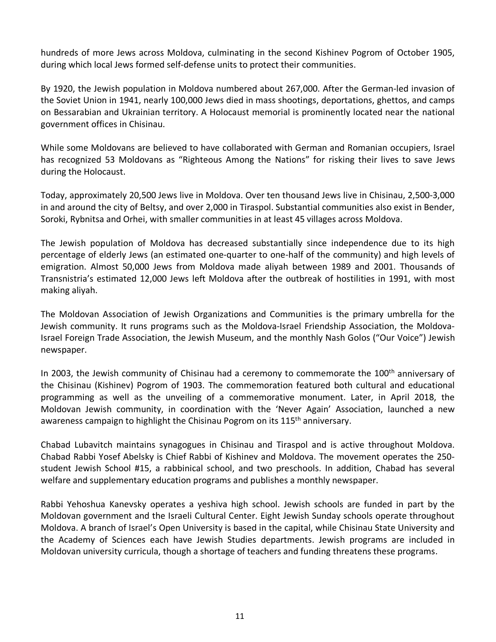hundreds of more Jews across Moldova, culminating in the second Kishinev Pogrom of October 1905, during which local Jews formed self-defense units to protect their communities.

By 1920, the Jewish population in Moldova numbered about 267,000. After the German-led invasion of the Soviet Union in 1941, nearly 100,000 Jews died in mass shootings, deportations, ghettos, and camps on Bessarabian and Ukrainian territory. A Holocaust memorial is prominently located near the national government offices in Chisinau.

While some Moldovans are believed to have collaborated with German and Romanian occupiers, Israel has recognized 53 Moldovans as "Righteous Among the Nations" for risking their lives to save Jews during the Holocaust.

Today, approximately 20,500 Jews live in Moldova. Over ten thousand Jews live in Chisinau, 2,500-3,000 in and around the city of Beltsy, and over 2,000 in Tiraspol. Substantial communities also exist in Bender, Soroki, Rybnitsa and Orhei, with smaller communities in at least 45 villages across Moldova.

The Jewish population of Moldova has decreased substantially since independence due to its high percentage of elderly Jews (an estimated one-quarter to one-half of the community) and high levels of emigration. Almost 50,000 Jews from Moldova made aliyah between 1989 and 2001. Thousands of Transnistria's estimated 12,000 Jews left Moldova after the outbreak of hostilities in 1991, with most making aliyah.

The Moldovan Association of Jewish Organizations and Communities is the primary umbrella for the Jewish community. It runs programs such as the Moldova-Israel Friendship Association, the Moldova-Israel Foreign Trade Association, the Jewish Museum, and the monthly Nash Golos ("Our Voice") Jewish newspaper.

In 2003, the Jewish community of Chisinau had a ceremony to commemorate the 100<sup>th</sup> anniversary of the Chisinau (Kishinev) Pogrom of 1903. The commemoration featured both cultural and educational programming as well as the unveiling of a commemorative monument. Later, in April 2018, the Moldovan Jewish community, in coordination with the 'Never Again' Association, launched a new awareness campaign to highlight the Chisinau Pogrom on its 115<sup>th</sup> anniversary.

Chabad Lubavitch maintains synagogues in Chisinau and Tiraspol and is active throughout Moldova. Chabad Rabbi Yosef Abelsky is Chief Rabbi of Kishinev and Moldova. The movement operates the 250 student Jewish School #15, a rabbinical school, and two preschools. In addition, Chabad has several welfare and supplementary education programs and publishes a monthly newspaper.

Rabbi Yehoshua Kanevsky operates a yeshiva high school. Jewish schools are funded in part by the Moldovan government and the Israeli Cultural Center. Eight Jewish Sunday schools operate throughout Moldova. A branch of Israel's Open University is based in the capital, while Chisinau State University and the Academy of Sciences each have Jewish Studies departments. Jewish programs are included in Moldovan university curricula, though a shortage of teachers and funding threatens these programs.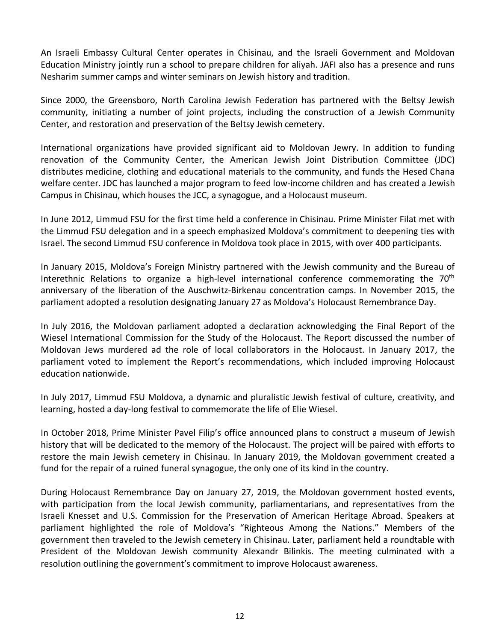An Israeli Embassy Cultural Center operates in Chisinau, and the Israeli Government and Moldovan Education Ministry jointly run a school to prepare children for aliyah. JAFI also has a presence and runs Nesharim summer camps and winter seminars on Jewish history and tradition.

Since 2000, the Greensboro, North Carolina Jewish Federation has partnered with the Beltsy Jewish community, initiating a number of joint projects, including the construction of a Jewish Community Center, and restoration and preservation of the Beltsy Jewish cemetery.

International organizations have provided significant aid to Moldovan Jewry. In addition to funding renovation of the Community Center, the American Jewish Joint Distribution Committee (JDC) distributes medicine, clothing and educational materials to the community, and funds the Hesed Chana welfare center. JDC has launched a major program to feed low-income children and has created a Jewish Campus in Chisinau, which houses the JCC, a synagogue, and a Holocaust museum.

In June 2012, Limmud FSU for the first time held a conference in Chisinau. Prime Minister Filat met with the Limmud FSU delegation and in a speech emphasized Moldova's commitment to deepening ties with Israel. The second Limmud FSU conference in Moldova took place in 2015, with over 400 participants.

In January 2015, Moldova's Foreign Ministry partnered with the Jewish community and the Bureau of Interethnic Relations to organize a high-level international conference commemorating the  $70<sup>th</sup>$ anniversary of the liberation of the Auschwitz-Birkenau concentration camps. In November 2015, the parliament adopted a resolution designating January 27 as Moldova's Holocaust Remembrance Day.

In July 2016, the Moldovan parliament adopted a declaration acknowledging the Final Report of the Wiesel International Commission for the Study of the Holocaust. The Report discussed the number of Moldovan Jews murdered ad the role of local collaborators in the Holocaust. In January 2017, the parliament voted to implement the Report's recommendations, which included improving Holocaust education nationwide.

In July 2017, Limmud FSU Moldova, a dynamic and pluralistic Jewish festival of culture, creativity, and learning, hosted a day-long festival to commemorate the life of Elie Wiesel.

In October 2018, Prime Minister Pavel Filip's office announced plans to construct a museum of Jewish history that will be dedicated to the memory of the Holocaust. The project will be paired with efforts to restore the main Jewish cemetery in Chisinau. In January 2019, the Moldovan government created a fund for the repair of a ruined funeral synagogue, the only one of its kind in the country.

During Holocaust Remembrance Day on January 27, 2019, the Moldovan government hosted events, with participation from the local Jewish community, parliamentarians, and representatives from the Israeli Knesset and U.S. Commission for the Preservation of American Heritage Abroad. Speakers at parliament highlighted the role of Moldova's "Righteous Among the Nations." Members of the government then traveled to the Jewish cemetery in Chisinau. Later, parliament held a roundtable with President of the Moldovan Jewish community Alexandr Bilinkis. The meeting culminated with a resolution outlining the government's commitment to improve Holocaust awareness.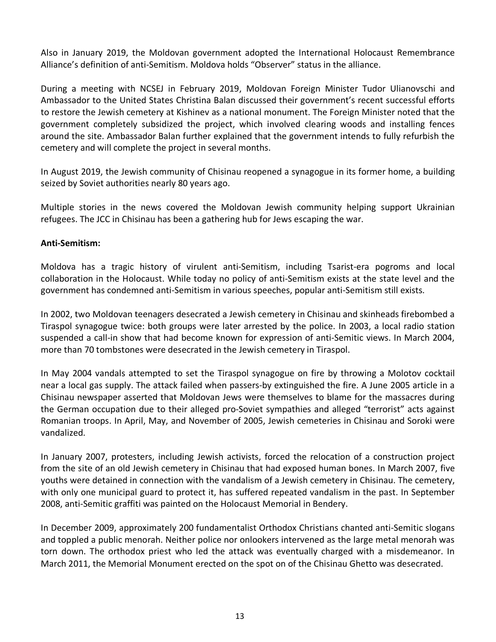Also in January 2019, the Moldovan government adopted the International Holocaust Remembrance Alliance's definition of anti-Semitism. Moldova holds "Observer" status in the alliance.

During a meeting with NCSEJ in February 2019, Moldovan Foreign Minister Tudor Ulianovschi and Ambassador to the United States Christina Balan discussed their government's recent successful efforts to restore the Jewish cemetery at Kishinev as a national monument. The Foreign Minister noted that the government completely subsidized the project, which involved clearing woods and installing fences around the site. Ambassador Balan further explained that the government intends to fully refurbish the cemetery and will complete the project in several months.

In August 2019, the Jewish community of Chisinau reopened a synagogue in its former home, a building seized by Soviet authorities nearly 80 years ago.

Multiple stories in the news covered the Moldovan Jewish community helping support Ukrainian refugees. The JCC in Chisinau has been a gathering hub for Jews escaping the war.

# **Anti-Semitism:**

Moldova has a tragic history of virulent anti-Semitism, including Tsarist-era pogroms and local collaboration in the Holocaust. While today no policy of anti-Semitism exists at the state level and the government has condemned anti-Semitism in various speeches, popular anti-Semitism still exists.

In 2002, two Moldovan teenagers desecrated a Jewish cemetery in Chisinau and skinheads firebombed a Tiraspol synagogue twice: both groups were later arrested by the police. In 2003, a local radio station suspended a call-in show that had become known for expression of anti-Semitic views. In March 2004, more than 70 tombstones were desecrated in the Jewish cemetery in Tiraspol.

In May 2004 vandals attempted to set the Tiraspol synagogue on fire by throwing a Molotov cocktail near a local gas supply. The attack failed when passers-by extinguished the fire. A June 2005 article in a Chisinau newspaper asserted that Moldovan Jews were themselves to blame for the massacres during the German occupation due to their alleged pro-Soviet sympathies and alleged "terrorist" acts against Romanian troops. In April, May, and November of 2005, Jewish cemeteries in Chisinau and Soroki were vandalized.

In January 2007, protesters, including Jewish activists, forced the relocation of a construction project from the site of an old Jewish cemetery in Chisinau that had exposed human bones. In March 2007, five youths were detained in connection with the vandalism of a Jewish cemetery in Chisinau. The cemetery, with only one municipal guard to protect it, has suffered repeated vandalism in the past. In September 2008, anti-Semitic graffiti was painted on the Holocaust Memorial in Bendery.

In December 2009, approximately 200 fundamentalist Orthodox Christians chanted anti-Semitic slogans and toppled a public menorah. Neither police nor onlookers intervened as the large metal menorah was torn down. The orthodox priest who led the attack was eventually charged with a misdemeanor. In March 2011, the Memorial Monument erected on the spot on of the Chisinau Ghetto was desecrated.